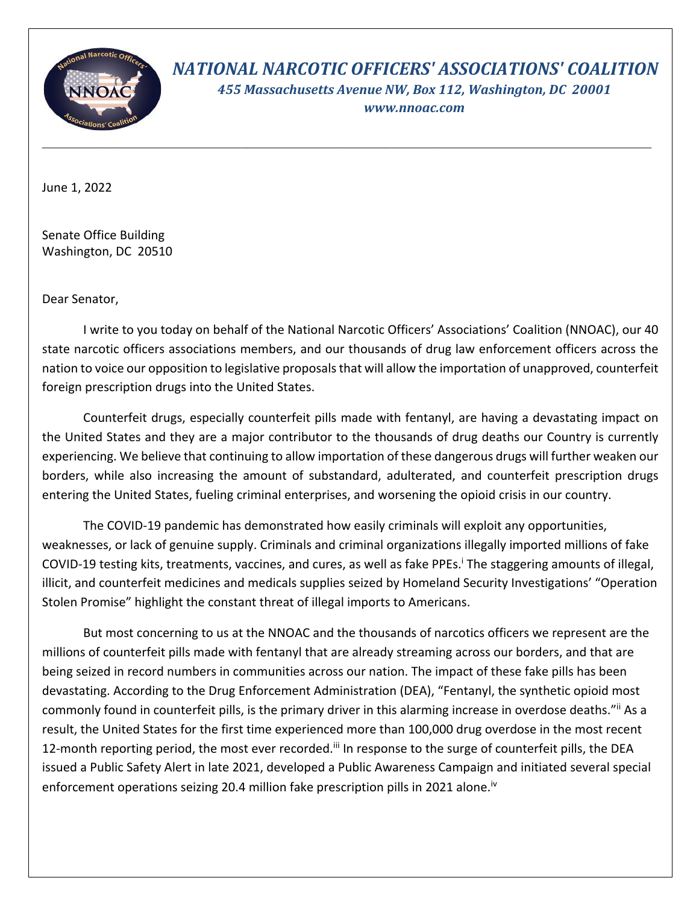

*NATIONAL NARCOTIC OFFICERS' ASSOCIATIONS' COALITION 455 Massachusetts Avenue NW, Box 112, Washington, DC 20001* 

*www.nnoac.com*

June 1, 2022

Senate Office Building Washington, DC 20510

Dear Senator,

I write to you today on behalf of the National Narcotic Officers' Associations' Coalition (NNOAC), our 40 state narcotic officers associations members, and our thousands of drug law enforcement officers across the nation to voice our opposition to legislative proposals that will allow the importation of unapproved, counterfeit foreign prescription drugs into the United States.

Counterfeit drugs, especially counterfeit pills made with fentanyl, are having a devastating impact on the United States and they are a major contributor to the thousands of drug deaths our Country is currently experiencing. We believe that continuing to allow importation of these dangerous drugs will further weaken our borders, while also increasing the amount of substandard, adulterated, and counterfeit prescription drugs entering the United States, fueling criminal enterprises, and worsening the opioid crisis in our country.

The COVID-19 pandemic has demonstrated how easily criminals will exploit any opportunities, weaknesses, or lack of genuine supply. Criminals and criminal organizations illegally imported millions of fake COVID-19 testing kits, treatments, vaccines, and cures, as well as fake PPEs.<sup>i</sup> The staggering amounts of illegal, illicit, and counterfeit medicines and medicals supplies seized by Homeland Security Investigations' "Operation Stolen Promise" highlight the constant threat of illegal imports to Americans.

But most concerning to us at the NNOAC and the thousands of narcotics officers we represent are the millions of counterfeit pills made with fentanyl that are already streaming across our borders, and that are being seized in record numbers in communities across our nation. The impact of these fake pills has been devastating. According to the Drug Enforcement Administration (DEA), "Fentanyl, the synthetic opioid most commonly found in counterfeit pills, is the primary driver in this alarming increase in overdose deaths."ii As a result, the United States for the first time experienced more than 100,000 drug overdose in the most recent 12-month reporting period, the most ever recorded.<sup>iii</sup> In response to the surge of counterfeit pills, the DEA issued a Public Safety Alert in late 2021, developed a Public Awareness Campaign and initiated several special enforcement operations seizing 20.4 million fake prescription pills in 2021 alone.<sup>iv</sup>